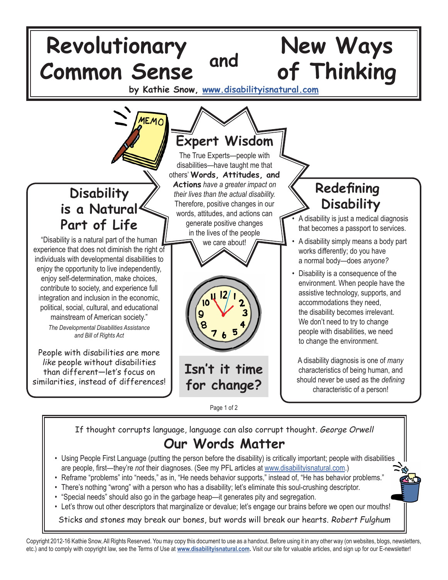

If thought corrupts language, language can also corrupt thought. George Orwell **Our Words Matter**

- Using People First Language (putting the person before the disability) is critically important; people with disabilities are people, first—they're *not* their diagnoses. (See my PFL articles at www.disabilityisnatural.com.)
- Reframe "problems" into "needs," as in, "He needs behavior supports," instead of, "He has behavior problems."
- There's nothing "wrong" with a person who has a disability; let's eliminate this soul-crushing descriptor.
- "Special needs" should also go in the garbage heap—it generates pity and segregation.
- Let's throw out other descriptors that marginalize or devalue; let's engage our brains before we open our mouths!

Sticks and stones may break our bones, but words will break our hearts. Robert Fulghum

Copyright 2012-16 Kathie Snow, All Rights Reserved. You may copy this document to use as a handout. Before using it in any other way (on websites, blogs, newsletters, etc.) and to comply with copyright law, see the Terms of Use at **www.disabilityisnatural.com.** Visit our site for valuable articles, and sign up for our E-newsletter!